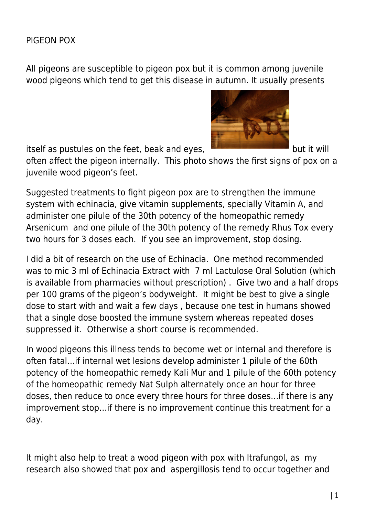## PIGEON POX

All pigeons are susceptible to pigeon pox but it is common among juvenile wood pigeons which tend to get this disease in autumn. It usually presents

itself as pustules on the feet, beak and eyes, **but it will** but it will

often affect the pigeon internally. This photo shows the first signs of pox on a juvenile wood pigeon's feet.

Suggested treatments to fight pigeon pox are to strengthen the immune system with echinacia, give vitamin supplements, specially Vitamin A, and administer one pilule of the 30th potency of the homeopathic remedy Arsenicum and one pilule of the 30th potency of the remedy Rhus Tox every two hours for 3 doses each. If you see an improvement, stop dosing.

I did a bit of research on the use of Echinacia. One method recommended was to mic 3 ml of Echinacia Extract with 7 ml Lactulose Oral Solution (which is available from pharmacies without prescription) . Give two and a half drops per 100 grams of the pigeon's bodyweight. It might be best to give a single dose to start with and wait a few days , because one test in humans showed that a single dose boosted the immune system whereas repeated doses suppressed it. Otherwise a short course is recommended.

In wood pigeons this illness tends to become wet or internal and therefore is often fatal…if internal wet lesions develop administer 1 pilule of the 60th potency of the homeopathic remedy Kali Mur and 1 pilule of the 60th potency of the homeopathic remedy Nat Sulph alternately once an hour for three doses, then reduce to once every three hours for three doses…if there is any improvement stop…if there is no improvement continue this treatment for a day.

It might also help to treat a wood pigeon with pox with Itrafungol, as my research also showed that pox and aspergillosis tend to occur together and